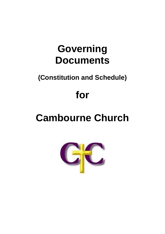# **Governing Documents**

# **(Constitution and Schedule)**

# **for**

# **Cambourne Church**

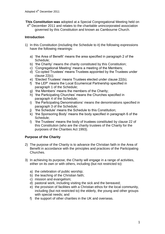- **This Constitution was** adopted at a Special Congregational Meeting held on
	- 4<sup>th</sup> December 2011 and relates to the charitable unincorporated association governed by this Constitution and known as Cambourne Church.

### **Introduction**

- 1) In this Constitution (including the Schedule to it) the following expressions have the following meanings:
	- a) 'the Area of Benefit' means the area specified in paragraph 2 of the Schedule;
	- b) 'the Charity' means the charity constituted by this Constitution;
	- c) 'Congregational Meeting' means a meeting of the Members;
	- d) 'Co-opted Trustees' means Trustees appointed by the Trustees under clause 22(c);
	- e) 'Elected Trustees' means Trustees elected under clause 22(b);
	- f) 'the LEP' means the Local Ecumenical Partnership specified in paragraph 1 of the Schedule;
	- g) 'the Members' means the members of the Charity;
	- h) 'the Participating Churches' means the Churches specified in paragraph 4 of the Schedule;
	- i) 'the Participating Denominations' means the denominations specified in paragraph 3 of the Schedule;
	- j) 'the Schedule' means the Schedule to this Constitution;
	- k) 'the Sponsoring Body' means the body specified in paragraph 6 of the Schedule;
	- l) 'the Trustees' means the body of trustees constituted by clause 22 of this Constitution (who are the charity trustees of the Charity for the purposes of the Charities Act 1993).

#### **Purpose of the Charity**

- 2) The purpose of the Charity is to advance the Christian faith in the Area of Benefit in accordance with the principles and practices of the Participating Churches.
- 3) In achieving its purpose, the Charity will engage in a range of activities, either on its own or with others, including (but not restricted to):
	- a) the celebration of public worship;
	- b) the teaching of the Christian faith;
	- c) mission and evangelism;
	- d) pastoral work, including visiting the sick and the bereaved;
	- e) the provision of facilities with a Christian ethos for the local community, including (but not restricted to) the elderly, the young and other groups with special needs; and
	- f) the support of other charities in the UK and overseas.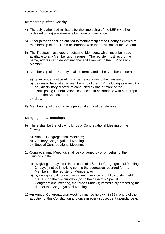#### **Membership of the Charity**

- 4) The duly authorised ministers for the time being of the LEP (whether ordained or lay) are Members by virtue of their office.
- 5) Other persons shall be entitled to membership of the Charity if entitled to membership of the LEP in accordance with the provisions of the Schedule.
- 6) The Trustees must keep a register of Members, which must be made available to any Member upon request. The register must record the name, address and denominational affiliation within the LEP of each Member.
- 7) Membership of the Charity shall be terminated if the Member concerned:
	- a) gives written notice of his or her resignation to the Trustees;
	- b) ceases to be entitled to membership of the LEP (including as a result of any disciplinary procedure conducted by one or more of the Participating Denominations conducted in accordance with paragraph 13 of the Schedule); or
	- c) dies.
- 8) Membership of the Charity is personal and not transferable.

#### **Congregational meetings**

- 9) There shall be the following kinds of Congregational Meeting of the Charity:
	- a) Annual Congregational Meetings;
	- b) Ordinary Congregational Meetings;
	- c) Special Congregational Meetings;
- 10)Congregational Meetings shall be convened by or on behalf of the Trustees, either:
	- a) by giving 14 days' (or, in the case of a Special Congregational Meeting, 21 days') notice in writing sent to the addresses recorded for the Members in the register of Members; or
	- b) by giving verbal notice given at each service of public worship held in the LEP on the two Sundays (or, in the case of a Special Congregational meeting, the three Sundays) immediately preceding the date of the Congregational Meeting.
- 11)An Annual Congregational Meeting must be held within 12 months of the adoption of this Constitution and once in every subsequent calendar year.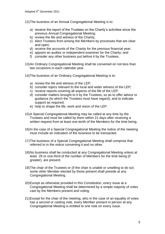- 12)The business of an Annual Congregational Meeting is to:
	- a) receive the report of the Trustees on the Charity's activities since the previous Annual Congregational Meeting;
	- b) review the life and witness of the Charity;
	- c) elect Trustees from among the Members by processes that are clear and open;
	- d) receive the accounts of the Charity for the previous financial year;
	- e) appoint an auditor or independent examiner for the Charity; and
	- f) consider any other business put before it by the Trustees.
- 13)An Ordinary Congregational Meeting shall be convened on not less than two occasions in each calendar year.
- 14)The business of an Ordinary Congregational Meeting is to:
	- a) review the life and witness of the LEP;
	- b) consider topics relevant to the local and wider witness of the LEP;
	- c) receive reports covering all aspects of the life of the LEP;
	- d) consider matters brought to it by the Trustees, so as to offer advice or guidance (to which the Trustees must have regard), and to indicate support as required:
	- e) help to shape the life, work and vision of the LEP.
- 15)A Special Congregational Meeting may be called at any time by the Trustees and must be called by them within 21 days after receiving a written request from at least one-tenth of the Members for the time being.
- 16)In the case of a Special Congregational Meeting the notice of the meeting must include an indication of the business to be transacted.
- 17)The business of a Special Congregational Meeting shall comprise that referred to in the notice convening it and no other.
- 18)No business shall be conducted at any Congregational Meeting unless at least 29 or one-third of the number of Members for the time being (if greater), are present.
- 19)The chair of the Trustees or (if the chair is unable or unwilling to do so) some other Member elected by those present shall preside at any Congregational Meeting.
- 20)Except as otherwise provided in this Constitution, every issue at a Congregational Meeting shall be determined by a simple majority of votes cast by the Members present and voting.
- 21)Except for the chair of the meeting, who in the case of an equality of votes has a second or casting vote, every Member present in person at any Congregational Meeting is entitled to one vote on every issue.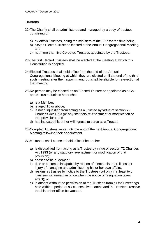### **Trustees**

- 22)The Charity shall be administered and managed by a body of trustees consisting of:
	- a) *ex officio* Trustees, being the ministers of the LEP for the time being;
	- b) Seven Elected Trustees elected at the Annual Congregational Meeting; and
	- c) not more than five Co-opted Trustees appointed by the Trustees.
- 23)The first Elected Trustees shall be elected at the meeting at which this Constitution is adopted.
- 24)Elected Trustees shall hold office from the end of the Annual Congregational Meeting at which they are elected until the end of the third such meeting after their appointment, but shall be eligible for re-election at that meeting.
- 25)No person may be elected as an Elected Trustee or appointed as a Coopted Trustee unless he or she:
	- a) is a Member;
	- b) is aged 18 or above;
	- c) is not disqualified from acting as a Trustee by virtue of section 72 Charities Act 1993 (or any statutory re-enactment or modification of that provision); and
	- d) has indicated his or her willingness to serve as a Trustee.
- 26)Co-opted Trustees serve until the end of the next Annual Congregational Meeting following their appointment.
- 27)A Trustee shall cease to hold office if he or she:
	- a) is disqualified from acting as a Trustee by virtue of section 72 Charities Act 1993 (or any statutory re-enactment or modification of that provision);
	- b) ceases to be a Member;
	- c) dies or becomes incapable by reason of mental disorder, illness or injury of managing and administering his or her own affairs;
	- d) resigns as trustee by notice to the Trustees (but only if at least two Trustees will remain in office when the notice of resignation takes effect); or
	- e) is absent without the permission of the Trustees from all their meetings held within a period of six consecutive months and the Trustees resolve that his or her office be vacated.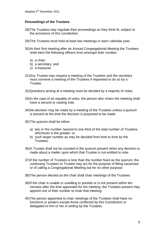#### **Proceedings of the Trustees**

- 28)The Trustees may regulate their proceedings as they think fit, subject to the provisions of this constitution.
- 29)The Trustees must hold at least two meetings in each calendar year.
- 30)At their first meeting after an Annual Congregational Meeting the Trustees shall elect the following officers from amongst their number:
	- a) a chair;
	- b) a secretary; and
	- c) a treasurer.
- 31)Any Trustee may request a meeting of the Trustees and the secretary must convene a meeting of the Trustees if requested to do so by a Trustee.
- 32)Questions arising at a meeting must be decided by a majority of votes.
- 33)In the case of an equality of votes, the person who chairs the meeting shall have a second or casting vote.
- 34)No decision may be made by a meeting of the Trustees unless a quorum is present at the time the decision is purported to be made.
- 35)The quorum shall be either:
	- a) two or the number nearest to one third of the total number of Trustees, whichever is the greater; or
	- b) such larger number as may be decided from time to time by the Trustees.
- 36)A Trustee shall not be counted in the quorum present when any decision is made about a matter upon which that Trustee is not entitled to vote.
- 37)If the number of Trustees is less than the number fixed as the quorum, the continuing Trustees or Trustee may act for the purpose of filling vacancies or of calling a Congregational Meeting but for no other purpose.
- 38)The person elected as the chair shall chair meetings of the Trustees.
- 39)If the chair is unable or unwilling to preside or is not present within ten minutes after the time appointed for the meeting, the Trustees present may appoint one of their number to chair that meeting.
- 40)The person appointed to chair meetings of the Trustees shall have no functions or powers except those conferred by this Constitution or delegated to him or her in writing by the Trustees.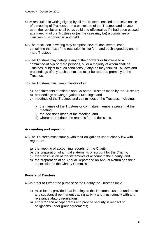- 41)A resolution in writing signed by all the Trustees entitled to receive notice of a meeting of Trustees or of a committee of the Trustees and to vote upon the resolution shall be as valid and effectual as if it had been passed at a meeting of the Trustees or (as the case may be) a committee of Trustees duly convened and held.
- 42)The resolution in writing may comprise several documents, each containing the text of the resolution in like form and each signed by one or more Trustees.
- 43)The Trustees may delegate any of their powers or functions to a committee of two or more persons, all or a majority of whom shall be Trustees, subject to such conditions (if any) as they think fit. All acts and proceedings of any such committee must be reported promptly to the Trustees.
- 44)The Trustees must keep minutes of all:
	- a) appointments of officers and Co-opted Trustees made by the Trustees;
	- b) proceedings at Congregational Meetings; and
	- c) meetings of the Trustees and committees of the Trustees, including:
		- i) the names of the Trustees or committee members present at the meeting;
		- ii) the decisions made at the meeting; and
		- iii) where appropriate, the reasons for the decisions.

#### **Accounting and reporting**

- 45)The Trustees must comply with their obligations under charity law with regard to:
	- a) the keeping of accounting records for the Charity;
	- b) the preparation of annual statements of account for the Charity;
	- c) the transmission of the statements of account to the Charity; and
	- d) the preparation of an Annual Report and an Annual Return and their submission to the Charity Commission.

#### **Powers of Trustees**

46)In order to further the purpose of the Charity the Trustees may:

- a) raise funds, provided that in doing so the Trustees must not undertake any substantial permanent trading activity and must comply with any relevant statutory regulations;
- b) apply for and accept grants and provide security in respect of obligations under grant agreements;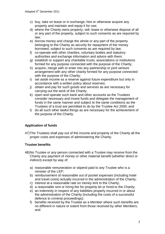- c) buy, take on lease or in exchange, hire or otherwise acquire any property and maintain and equip it for use;
- d) where the Charity owns property, sell, lease or otherwise dispose of all or any part of the property, subject to such consents as are required by law;
- e) borrow money and charge the whole or any part of the property belonging to the Charity as security for repayment of the money borrowed, subject to such consents as are required by law;
- f) co-operate with other charities, voluntary bodies and statutory authorities and exchange information and advice with them;
- g) establish or support any charitable trusts, associations or institutions formed for any purpose connected with the purpose of the Charity;
- h) acquire, merge with or enter into any partnership or joint venture arrangement with any other charity formed for any purpose connected with the purpose of the Charity;
- i) set aside income as a reserve against future expenditure but only in accordance with a written policy about reserves;
- j) obtain and pay for such goods and services as are necessary for carrying out the work of the Charity;
- k) open and operate such bank and other accounts as the Trustees consider necessary and invest funds and delegate the management of funds in the same manner and subject to the same conditions as the Trustees of a trust are permitted to do by the Trustee Act 2000; and
- l) do all such other lawful things as are necessary for the achievement of the purpose of the Charity.

# **Application of funds**

47)The Trustees shall pay out of the income and property of the Charity all the proper costs and expenses of administering the Charity.

# **Trustee benefits**

- 48)No Trustee or any person connected with a Trustee may receive from the Charity any payment of money or other material benefit (whether direct or indirect) except by way of:
	- a) reasonable remuneration or stipend paid to any Trustee who is a minister of the LEP;
	- b) reimbursement of reasonable out of pocket expenses (including hotel and travel costs) actually incurred in the administration of the Charity;
	- c) interest at a reasonable rate on money lent to the Charity;
	- d) a reasonable rent or hiring fee for property let or hired to the Charity;
	- e) an indemnity in respect of any liabilities properly incurred in or about the administration of the Charity (including the costs of a successful defence to criminal proceedings);
	- f) benefits received by the Trustee as a Member where such benefits are no different in nature or extent from those received by other Members; and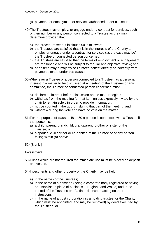- g) payment for employment or services authorised under clause 49.
- 49)The Trustees may employ, or engage under a contract for services, such of their number or any person connected to a Trustee as they may determine provided that:
	- a) the procedure set out in clause 50 is followed;
	- b) the Trustees are satisfied that it is in the interests of the Charity to employ or engage under a contract for services (as the case may be) the Trustee or connected person concerned;
	- c) the Trustees are satisfied that the terms of employment or engagement are reasonable and will be subject to regular and objective review; and
	- d) at no time may a majority of Trustees benefit directly or indirectly from payments made under this clause.
- 50)Whenever a Trustee or a person connected to a Trustee has a personal interest in a matter to be discussed at a meeting of the Trustees or any committee, the Trustee or connected person concerned must:
	- a) declare an interest before discussion on the matter begins;
	- b) withdraw from the meeting for that item unless expressly invited by the chair to remain solely in order to provide information;
	- c) not be counted in the quorum during that part of the meeting; and
	- d) withdraw during the vote and have no vote on the matter.
- 51)For the purpose of clauses 48 to 50 a person is connected with a Trustee if that person is:
	- a) a child, parent, grandchild, grandparent, brother or sister of the Trustee; or
	- b) a spouse, civil partner or co-habitee of the Trustee or of any person falling within (a) above.

52) [Blank ]

#### **Investment**

53)Funds which are not required for immediate use must be placed on deposit or invested.

54)Investments and other property of the Charity may be held:

- a) in the names of the Trustees;
- b) in the name of a nominee (being a corporate body registered or having an established place of business in England and Wales) under the control of the Trustees or of a financial expert acting on their instructions;
- c) in the name of a trust corporation as a holding trustee for the Charity which must be appointed (and may be removed) by deed executed by the Trustees; or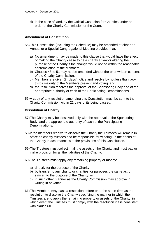d) in the case of land, by the Official Custodian for Charities under an order of the Charity Commission or the Court.

#### **Amendment of Constitution**

- 55)This Constitution (including the Schedule) may be amended at either an Annual or a Special Congregational Meeting provided that:
	- a) No amendment may be made to this clause that would have the effect of making the Charity cease to be a charity at law or altering the purpose of the Charity if the change would not be within the reasonable contemplation of the Members;
	- b) Clauses 48 to 51 may not be amended without the prior written consent of the Charity Commission;
	- c) Members are given 21 days' notice and resolve by not less than twothirds majority of the Members present and voting; and
	- d) the resolution receives the approval of the Sponsoring Body and of the appropriate authority of each of the Participating Denominations.
- 56)A copy of any resolution amending this Constitution must be sent to the Charity Commission within 21 days of its being passed.

#### **Dissolution of Charity**

- 57)The Charity may be dissolved only with the approval of the Sponsoring Body, and the appropriate authority of each of the Participating Denominations.
- 58)If the members resolve to dissolve the Charity the Trustees will remain in office as charity trustees and be responsible for winding up the affairs of the Charity in accordance with the provisions of this Constitution.
- 59)The Trustees must collect in all the assets of the Charity and must pay or make provision for all the liabilities of the Charity.
- 60)The Trustees must apply any remaining property or money:
	- a) directly for the purpose of the Charity;
	- b) by transfer to any charity or charities for purposes the same as, or similar, to the purpose of the Charity; or
	- c) in such other manner as the Charity Commission may approve in writing in advance.
- 61)The Members may pass a resolution before or at the same time as the resolution to dissolve the Charity specifying the manner in which the Trustees are to apply the remaining property or assets of the Charity, in which event the Trustees must comply with the resolution if it is consistent with clause 60.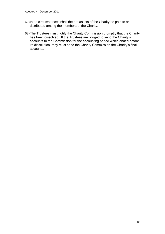- 62)In no circumstances shall the net assets of the Charity be paid to or distributed among the members of the Charity.
- 63)The Trustees must notify the Charity Commission promptly that the Charity has been dissolved. If the Trustees are obliged to send the Charity's accounts to the Commission for the accounting period which ended before its dissolution, they must send the Charity Commission the Charity's final accounts.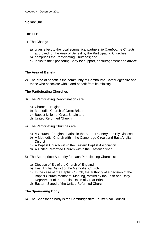# **Schedule**

# **The LEP**

- 1) The Charity:
	- a) gives effect to the local ecumenical partnership *Cambourne Church* approved for the Area of Benefit by the Participating Churches;
	- b) comprises the Participating Churches; and
	- c) looks to the Sponsoring Body for support, encouragement and advice.

# **The Area of Benefit**

2) The area of benefit is the community of Cambourne Cambridgeshire and those who associate with it and benefit from its ministry

# **The Participating Churches**

- 3) The Participating Denominations are:
	- a) Church of England
	- b) Methodist Church of Great Britain
	- c) Baptist Union of Great Britain and
	- d) United Reformed Church
- 4) The Participating Churches are:
	- a) A Church of England parish in the Bourn Deanery and Ely Diocese;
	- b) A Methodist Church within the Cambridge Circuit and East Anglia **District**
	- c) A Baptist Church within the Eastern Baptist Association
	- d) A United Reformed Church within the Eastern Synod
- 5) The Appropriate Authority for each Participating Church is:
	- a) Diocese of Ely of the Church of England
	- b) East Anglia District of the Methodist Church
	- c) In the case of the Baptist Church, the authority of a decision of the Baptist Church Members' Meeting, ratified by the Faith and Unity Department of the Baptist Union of Great Britain
	- d) Eastern Synod of the United Reformed Church

# **The Sponsoring Body**

6) The Sponsoring body is the Cambridgeshire Ecumenical Council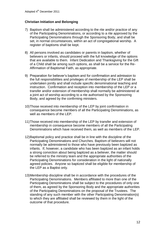#### **Christian Initiation and Belonging**

- 7) Baptism shall be administered according to the rite and/or practice of any of the Participating Denominations, or according to a rite approved by the Participating Denominations through the Sponsoring Body, and shall be set, in normal circumstances, within an act of congregational worship. A register of baptisms shall be kept.
- 8) All persons involved as candidates or parents in baptism, whether of believers or infants, should proceed with the full knowledge of the options that are available to them. Infant Dedication and Thanksgiving for the Gift of a Child shall be among such options, as shall be a service for the Re-Affirmation of Baptismal Faith, as appropriate.
- 9) Preparation for believer's baptism and for confirmation and admission to the full responsibilities and privileges of membership of the LEP shall be undertaken jointly and shall include specific denominational teaching and instruction. Confirmation and reception into membership of the LEP or a transfer and/or extension of membership shall normally be administered at a joint act of worship according to a rite authorised by the Sponsoring Body, and agreed by the confirming ministers.
- 10)Those received into membership of the LEP by joint confirmation in consequence become members of all the Participating Denominations, as well as members of the LEP.
- 11)Those received into membership of the LEP by transfer and extension of membership in consequence become members of all the Participating Denominations which have received them, as well as members of the LEP.
- 12)Baptismal policy and practice shall be in line with the discipline of the Participating Denominations and Churches. Baptism of believers will not normally be administered to those who have previously been baptized as infants. If, however, a candidate who has been baptized as an infant holds a strong conviction about being baptized as a believer, the matter should be referred to the ministry team and the appropriate authorities of the Participating Denominations for consideration in the light of nationally agreed policies. Anyone so baptized shall be eligible for membership of the LEP as a Baptist only.
- 13)Membership discipline shall be in accordance with the procedures of the Participating Denominations. Members affiliated to more than one of the Participating Denominations shall be subject to the procedures of only one of them, as agreed by the Sponsoring Body and the appropriate authorities of the Participating Denominations on the proposal of the Trustees. The standing of any such member with the other Participating Denomination(s) to which they are affiliated shall be reviewed by them in the light of the outcome of that procedure.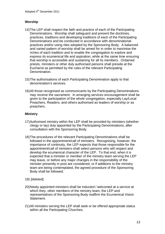#### **Worship**

- 14)The LEP shall respect the faith and practice of each of the Participating Denominations. Worship shall safeguard and present the doctrines, practices, traditions and developing traditions of each of the Participating Denominations and be conducted in accordance with denominational practices and/or using rites adopted by the Sponsoring Body. A balanced and varied pattern of worship shall be aimed for in order to maximise the riches of each tradition and to enable the congregation to explore and express its ecumenical life and aspiration, while at the same time ensuring that worship is accessible and sustaining for all its members. Ordained priests, ministers or other duly authorised persons shall preside at the Eucharist as permitted by the rules of the relevant Participating Denomination.
- 15)The authorisations of each Participating Denomination apply to that denomination's services.
- 16)All those recognised as communicants by the Participating Denominations may receive the sacrament. In arranging services encouragement shall be given to the participation of the whole congregation, especially Lay/Local Preachers, Readers, and others authorised as leaders of worship or as preachers.

#### **Ministry**

- 17)Authorised ministry within the LEP shall be provided by ministers (whether clergy or lay) duly appointed by the Participating Denominations, after consultation with the Sponsoring Body.
- 18)The procedures of the relevant Participating Denominations shall be followed in the appointment/call of ministers. Recognising, however, the importance of continuity, the LEP expects that those responsible for the appointment/call of ministers shall select persons who will respect and develop the ecumenical character of the LEP. To that end, when it is expected that a minister or member of the ministry team serving the LEP may leave, or before any major changes in the responsibility of the minister presently in post are considered, or if additions to the ministry team are being contemplated, the agreed procedure of the Sponsoring Body shall be followed.
- 19) [deleted]
- 20)Newly appointed ministers shall be inducted / welcomed at a service at which they, other members of the ministry team, the LEP and representatives of the Sponsoring Body reaffirm the Ecumenical Vision Statement.
- 21)All ministers serving the LEP shall seek or be offered appropriate status within all the Participating Churches.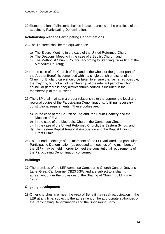22)Remuneration of Ministers shall be in accordance with the practices of the appointing Participating Denomination.

### **Relationship with the Participating Denominations**

23)The Trustees shall be the equivalent of:

- a) The Elders' Meeting in the case of the United Reformed Church;
- b) The Deacons' Meeting in the case of a Baptist Church; and
- c) The Methodist Church Council (according to Standing Order 611 of the Methodist Church)];
- 24) In the case of the Church of England, if the whole or the greater part of the Area of Benefit is comprised within a single parish or district of the Church of England care should be taken to ensure that, as far as possible, the majority, but not all, of membership of the relevant parochial church council or (if there is one) district church council is included in the membership of the Trustees.
- 25)The LEP shall maintain a proper relationship to the appropriate local and regional bodies of the Participating Denominations, fulfilling necessary constitutional requirements. These bodies are:
	- a) In the case of the Church of England, the Bourn Deanery and the Diocese of Ely;
	- b) In the case of the Methodist Church, the Cambridge Circuit;
	- c) In the case of the United Reformed Church, the Eastern Synod; and
	- d) The Eastern Baptist Regional Association and the Baptist Union of Great Britain.
- 26)To that end, meetings of the members of the LEP affiliated to a particular Participating Denomination (as opposed to meetings of the members of the LEP) may be held in order to meet the constitutional requirements of the Participating Denomination concerned.

# **Buildings**

27)The premises of the LEP comprise Cambourne Church Centre, Jeavons Lane, Great Cambourne, CB23 6GW and are subject to a sharing agreement under the provisions of the Sharing of Church Buildings Act, 1969.

#### **Ongoing development**

28)Other churches in or near the Area of Benefit may seek participation in the LEP at any time, subject to the agreement of the appropriate authorities of the Participating Denominations and the Sponsoring Body.